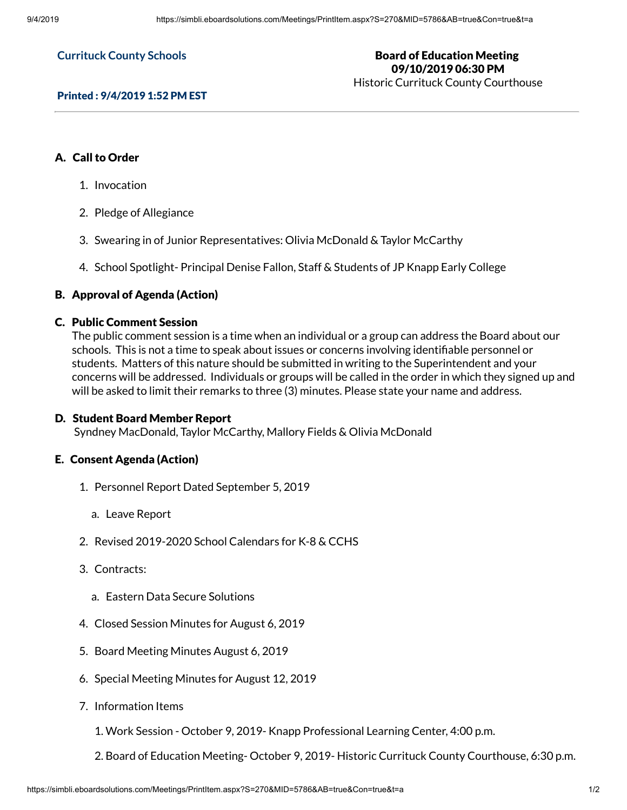#### **Currituck County Schools**

#### Board of Education Meeting 09/10/2019 06:30 PM Historic Currituck County Courthouse

## Printed : 9/4/2019 1:52 PM EST

# A. Call to Order

- 1. Invocation
- 2. Pledge of Allegiance
- 3. Swearing in of Junior Representatives: Olivia McDonald & Taylor McCarthy
- 4. School Spotlight- Principal Denise Fallon, Staff & Students of JP Knapp Early College

# B. Approval of Agenda (Action)

#### C. Public Comment Session

The public comment session is a time when an individual or a group can address the Board about our schools. This is not a time to speak about issues or concerns involving identifiable personnel or students. Matters of this nature should be submitted in writing to the Superintendent and your concerns will be addressed. Individuals or groups will be called in the order in which they signed up and will be asked to limit their remarks to three (3) minutes. Please state your name and address.

# D. Student Board Member Report

Syndney MacDonald, Taylor McCarthy, Mallory Fields & Olivia McDonald

## E. Consent Agenda (Action)

- 1. Personnel Report Dated September 5, 2019
	- a. Leave Report
- 2. Revised 2019-2020 School Calendars for K-8 & CCHS
- 3. Contracts:
	- a. Eastern Data Secure Solutions
- 4. Closed Session Minutes for August 6, 2019
- 5. Board Meeting Minutes August 6, 2019
- 6. Special Meeting Minutes for August 12, 2019
- 7. Information Items
	- 1. Work Session October 9, 2019- Knapp Professional Learning Center, 4:00 p.m.
	- 2. Board of Education Meeting- October 9, 2019- Historic Currituck County Courthouse, 6:30 p.m.